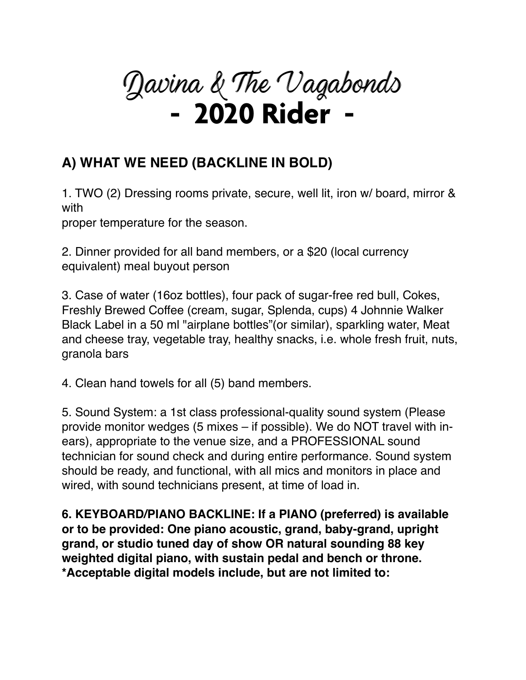

## **A) WHAT WE NEED (BACKLINE IN BOLD)**

1. TWO (2) Dressing rooms private, secure, well lit, iron w/ board, mirror & with

proper temperature for the season.

2. Dinner provided for all band members, or a \$20 (local currency equivalent) meal buyout person

3. Case of water (16oz bottles), four pack of sugar-free red bull, Cokes, Freshly Brewed Coffee (cream, sugar, Splenda, cups) 4 Johnnie Walker Black Label in a 50 ml "airplane bottles"(or similar), sparkling water, Meat and cheese tray, vegetable tray, healthy snacks, i.e. whole fresh fruit, nuts, granola bars

4. Clean hand towels for all (5) band members.

5. Sound System: a 1st class professional-quality sound system (Please provide monitor wedges (5 mixes – if possible). We do NOT travel with inears), appropriate to the venue size, and a PROFESSIONAL sound technician for sound check and during entire performance. Sound system should be ready, and functional, with all mics and monitors in place and wired, with sound technicians present, at time of load in.

**6. KEYBOARD/PIANO BACKLINE: If a PIANO (preferred) is available or to be provided: One piano acoustic, grand, baby-grand, upright grand, or studio tuned day of show OR natural sounding 88 key weighted digital piano, with sustain pedal and bench or throne. \*Acceptable digital models include, but are not limited to:**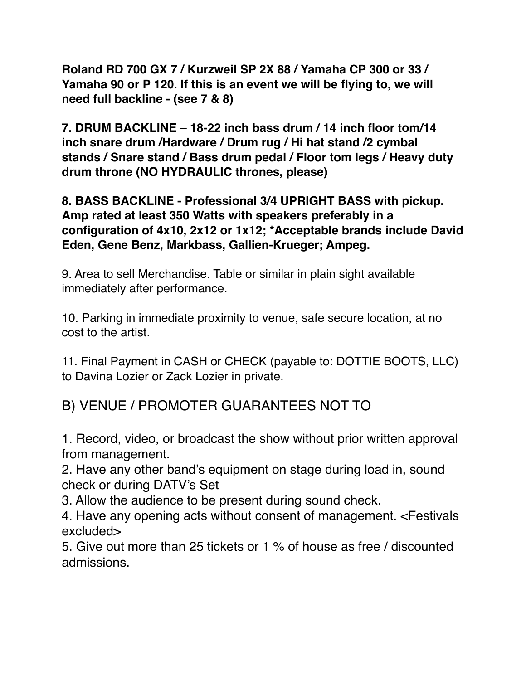**Roland RD 700 GX 7 / Kurzweil SP 2X 88 / Yamaha CP 300 or 33 / Yamaha 90 or P 120. If this is an event we will be flying to, we will need full backline - (see 7 & 8)**

**7. DRUM BACKLINE – 18-22 inch bass drum / 14 inch floor tom/14 inch snare drum /Hardware / Drum rug / Hi hat stand /2 cymbal stands / Snare stand / Bass drum pedal / Floor tom legs / Heavy duty drum throne (NO HYDRAULIC thrones, please)**

**8. BASS BACKLINE - Professional 3/4 UPRIGHT BASS with pickup. Amp rated at least 350 Watts with speakers preferably in a configuration of 4x10, 2x12 or 1x12; \*Acceptable brands include David Eden, Gene Benz, Markbass, Gallien-Krueger; Ampeg.**

9. Area to sell Merchandise. Table or similar in plain sight available immediately after performance.

10. Parking in immediate proximity to venue, safe secure location, at no cost to the artist.

11. Final Payment in CASH or CHECK (payable to: DOTTIE BOOTS, LLC) to Davina Lozier or Zack Lozier in private.

B) VENUE / PROMOTER GUARANTEES NOT TO

1. Record, video, or broadcast the show without prior written approval from management.

2. Have any other band's equipment on stage during load in, sound check or during DATV's Set

3. Allow the audience to be present during sound check.

4. Have any opening acts without consent of management. <Festivals excluded>

5. Give out more than 25 tickets or 1 % of house as free / discounted admissions.